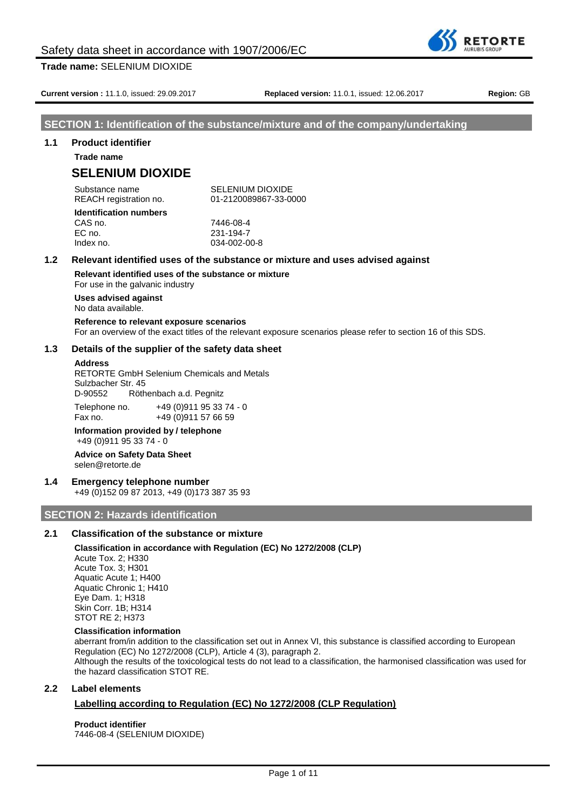

**Current version :** 11.1.0, issued: 29.09.2017 **Replaced version:** 11.0.1, issued: 12.06.2017 **Region:** GB

# **SECTION 1: Identification of the substance/mixture and of the company/undertaking**

# **1.1 Product identifier**

**Trade name**

# **SELENIUM DIOXIDE**

Substance name SELENIUM DIOXIDE

REACH registration no. 01-2120089867-33-0000

#### **Identification numbers** CAS no. 7446-08-4

EC no. 231-194-7 Index no. 034-002-00-8

# **1.2 Relevant identified uses of the substance or mixture and uses advised against**

**Relevant identified uses of the substance or mixture**

For use in the galvanic industry

# **Uses advised against**

No data available.

# **Reference to relevant exposure scenarios**

For an overview of the exact titles of the relevant exposure scenarios please refer to section 16 of this SDS.

# **1.3 Details of the supplier of the safety data sheet**

### **Address**

RETORTE GmbH Selenium Chemicals and Metals Sulzbacher Str. 45 D-90552 Röthenbach a.d. Pegnitz

Telephone no. +49 (0)911 95 33 74 - 0 Fax no. +49 (0) 911 57 66 59

#### **Information provided by / telephone** +49 (0)911 95 33 74 - 0

#### **Advice on Safety Data Sheet** selen@retorte.de

# **1.4 Emergency telephone number**

+49 (0)152 09 87 2013, +49 (0)173 387 35 93

# **SECTION 2: Hazards identification**

# **2.1 Classification of the substance or mixture**

# **Classification in accordance with Regulation (EC) No 1272/2008 (CLP)**

Acute Tox. 2; H330 Acute Tox. 3; H301 Aquatic Acute 1; H400 Aquatic Chronic 1; H410 Eye Dam. 1; H318 Skin Corr. 1B; H314 STOT RE 2; H373

# **Classification information**

aberrant from/in addition to the classification set out in Annex VI, this substance is classified according to European Regulation (EC) No 1272/2008 (CLP), Article 4 (3), paragraph 2. Although the results of the toxicological tests do not lead to a classification, the harmonised classification was used for the hazard classification STOT RE.

# **2.2 Label elements**

# **Labelling according to Regulation (EC) No 1272/2008 (CLP Regulation)**

# **Product identifier** 7446-08-4 (SELENIUM DIOXIDE)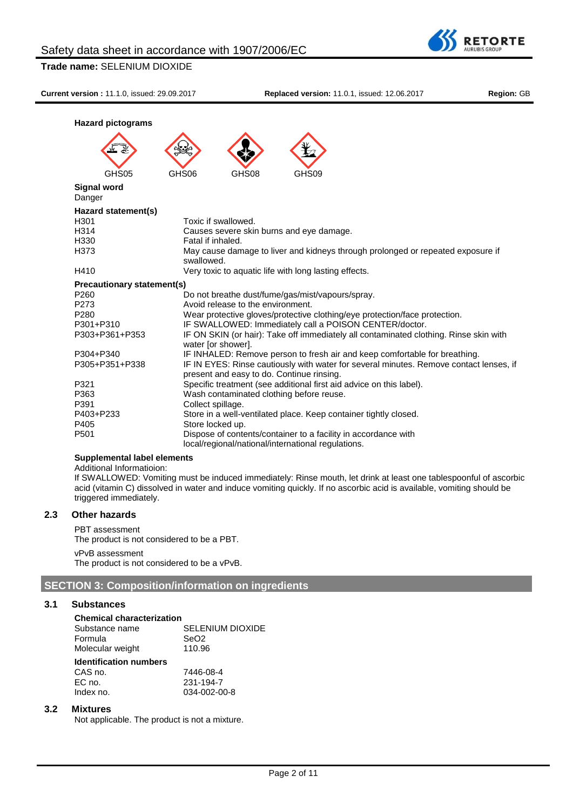

**Current version :** 11.1.0, issued: 29.09.2017 **Replaced version:** 11.0.1, issued: 12.06.2017 **Region:** GB

**RETORTE JRUBIS GROUF** 

| <b>Hazard pictograms</b>          |                                                                                                                                     |
|-----------------------------------|-------------------------------------------------------------------------------------------------------------------------------------|
|                                   |                                                                                                                                     |
| GHS05                             | GHS06<br>GHS08<br>GHS09                                                                                                             |
| <b>Signal word</b><br>Danger      |                                                                                                                                     |
| Hazard statement(s)               |                                                                                                                                     |
| H <sub>301</sub>                  | Toxic if swallowed.                                                                                                                 |
| H314                              | Causes severe skin burns and eye damage.                                                                                            |
| H330                              | Fatal if inhaled.                                                                                                                   |
| H373                              | May cause damage to liver and kidneys through prolonged or repeated exposure if<br>swallowed.                                       |
| H410                              | Very toxic to aquatic life with long lasting effects.                                                                               |
| <b>Precautionary statement(s)</b> |                                                                                                                                     |
| P <sub>260</sub>                  | Do not breathe dust/fume/gas/mist/vapours/spray.                                                                                    |
| P273                              | Avoid release to the environment.                                                                                                   |
| P <sub>280</sub>                  | Wear protective gloves/protective clothing/eye protection/face protection.                                                          |
| P301+P310                         | IF SWALLOWED: Immediately call a POISON CENTER/doctor.                                                                              |
| P303+P361+P353                    | IF ON SKIN (or hair): Take off immediately all contaminated clothing. Rinse skin with<br>water [or shower].                         |
| P304+P340                         | IF INHALED: Remove person to fresh air and keep comfortable for breathing.                                                          |
| P305+P351+P338                    | IF IN EYES: Rinse cautiously with water for several minutes. Remove contact lenses, if<br>present and easy to do. Continue rinsing. |
| P321                              | Specific treatment (see additional first aid advice on this label).                                                                 |
| P363                              | Wash contaminated clothing before reuse.                                                                                            |
| P391                              | Collect spillage.                                                                                                                   |
| P403+P233                         | Store in a well-ventilated place. Keep container tightly closed.                                                                    |
| P405                              | Store locked up.                                                                                                                    |
| P <sub>501</sub>                  | Dispose of contents/container to a facility in accordance with<br>local/regional/national/international regulations.                |

## **Supplemental label elements**

Additional Informatioion:

If SWALLOWED: Vomiting must be induced immediately: Rinse mouth, let drink at least one tablespoonful of ascorbic acid (vitamin C) dissolved in water and induce vomiting quickly. If no ascorbic acid is available, vomiting should be triggered immediately.

# **2.3 Other hazards**

PBT assessment The product is not considered to be a PBT. vPvB assessment

The product is not considered to be a vPvB.

# **SECTION 3: Composition/information on ingredients**

# **3.1 Substances**

| <b>Chemical characterization</b> |                         |
|----------------------------------|-------------------------|
| Substance name                   | <b>SELENIUM DIOXIDE</b> |
| Formula                          | SeO <sub>2</sub>        |
| Molecular weight                 | 110.96                  |
| <b>Identification numbers</b>    |                         |
| CAS no.                          | 7446-08-4               |
| EC no.                           | 231-194-7               |
| Index no.                        | 034-002-00-8            |

# **3.2 Mixtures**

Not applicable. The product is not a mixture.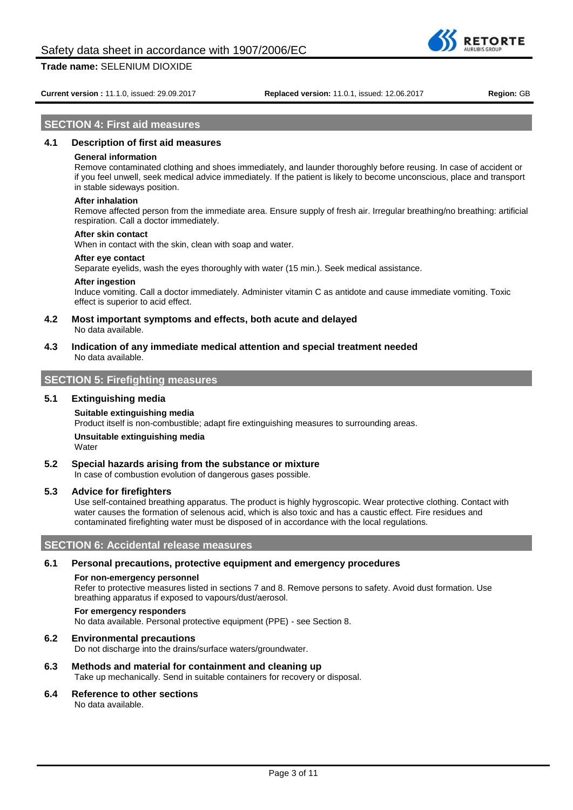**DETOPTE** 

#### **Current version :** 11.1.0, issued: 29.09.2017 **Replaced version:** 11.0.1, issued: 12.06.2017 **Region:** GB

## **SECTION 4: First aid measures**

## **4.1 Description of first aid measures**

#### **General information**

Remove contaminated clothing and shoes immediately, and launder thoroughly before reusing. In case of accident or if you feel unwell, seek medical advice immediately. If the patient is likely to become unconscious, place and transport in stable sideways position.

#### **After inhalation**

Remove affected person from the immediate area. Ensure supply of fresh air. Irregular breathing/no breathing: artificial respiration. Call a doctor immediately.

#### **After skin contact**

When in contact with the skin, clean with soap and water.

#### **After eye contact**

Separate eyelids, wash the eyes thoroughly with water (15 min.). Seek medical assistance.

#### **After ingestion**

Induce vomiting. Call a doctor immediately. Administer vitamin C as antidote and cause immediate vomiting. Toxic effect is superior to acid effect.

**4.2 Most important symptoms and effects, both acute and delayed**

- No data available.
- **4.3 Indication of any immediate medical attention and special treatment needed** No data available.

# **SECTION 5: Firefighting measures**

### **5.1 Extinguishing media**

#### **Suitable extinguishing media**

Product itself is non-combustible; adapt fire extinguishing measures to surrounding areas.

#### **Unsuitable extinguishing media Water**

#### **5.2 Special hazards arising from the substance or mixture**

In case of combustion evolution of dangerous gases possible.

# **5.3 Advice for firefighters**

Use self-contained breathing apparatus. The product is highly hygroscopic. Wear protective clothing. Contact with water causes the formation of selenous acid, which is also toxic and has a caustic effect. Fire residues and contaminated firefighting water must be disposed of in accordance with the local regulations.

# **SECTION 6: Accidental release measures**

#### **6.1 Personal precautions, protective equipment and emergency procedures**

#### **For non-emergency personnel**

Refer to protective measures listed in sections 7 and 8. Remove persons to safety. Avoid dust formation. Use breathing apparatus if exposed to vapours/dust/aerosol.

#### **For emergency responders**

No data available. Personal protective equipment (PPE) - see Section 8.

#### **6.2 Environmental precautions**

Do not discharge into the drains/surface waters/groundwater.

#### **6.3 Methods and material for containment and cleaning up**

Take up mechanically. Send in suitable containers for recovery or disposal.

#### **6.4 Reference to other sections**

No data available.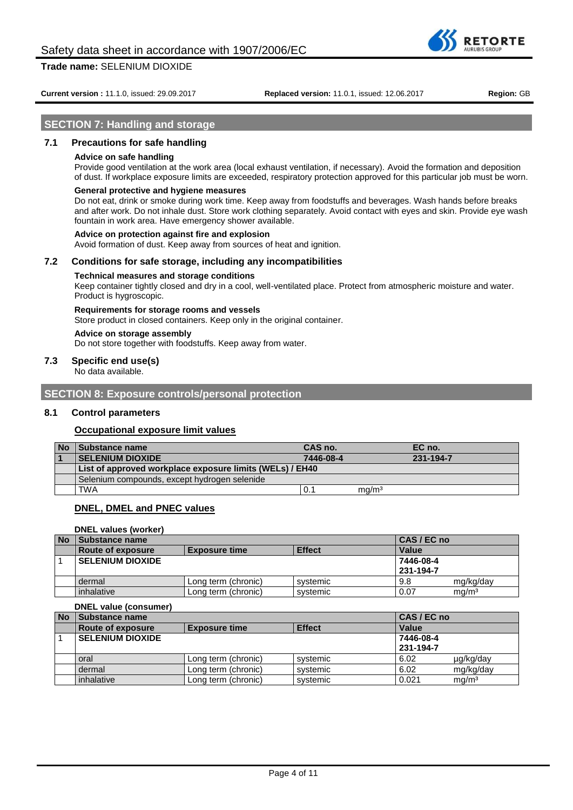**RETORTE** 

# **SECTION 7: Handling and storage**

# **7.1 Precautions for safe handling**

#### **Advice on safe handling**

Provide good ventilation at the work area (local exhaust ventilation, if necessary). Avoid the formation and deposition of dust. If workplace exposure limits are exceeded, respiratory protection approved for this particular job must be worn.

#### **General protective and hygiene measures**

Do not eat, drink or smoke during work time. Keep away from foodstuffs and beverages. Wash hands before breaks and after work. Do not inhale dust. Store work clothing separately. Avoid contact with eyes and skin. Provide eye wash fountain in work area. Have emergency shower available.

#### **Advice on protection against fire and explosion**

Avoid formation of dust. Keep away from sources of heat and ignition.

#### **7.2 Conditions for safe storage, including any incompatibilities**

#### **Technical measures and storage conditions**

Keep container tightly closed and dry in a cool, well-ventilated place. Protect from atmospheric moisture and water. Product is hygroscopic.

#### **Requirements for storage rooms and vessels**

Store product in closed containers. Keep only in the original container.

# **Advice on storage assembly**

Do not store together with foodstuffs. Keep away from water.

#### **7.3 Specific end use(s)**

No data available.

**SECTION 8: Exposure controls/personal protection**

#### **8.1 Control parameters**

#### **Occupational exposure limit values**

| <b>No</b> | <b>Substance name</b>                                    | CAS no.   |                   | EC no.    |
|-----------|----------------------------------------------------------|-----------|-------------------|-----------|
|           | <b>SELENIUM DIOXIDE</b>                                  | 7446-08-4 |                   | 231-194-7 |
|           | List of approved workplace exposure limits (WELs) / EH40 |           |                   |           |
|           | Selenium compounds, except hydrogen selenide             |           |                   |           |
|           | TWA                                                      | 0.        | mg/m <sup>3</sup> |           |

# **DNEL, DMEL and PNEC values**

**DNEL values (worker)**

| <b>No</b> | <b>Substance name</b>   |                      | CAS / EC no   |           |                   |
|-----------|-------------------------|----------------------|---------------|-----------|-------------------|
|           | Route of exposure       | <b>Exposure time</b> | <b>Effect</b> | Value     |                   |
|           | <b>SELENIUM DIOXIDE</b> |                      |               | 7446-08-4 |                   |
|           |                         |                      |               | 231-194-7 |                   |
|           | dermal                  | Long term (chronic)  | svstemic      | 9.8       | mg/kg/day         |
|           | inhalative              | Long term (chronic)  | svstemic      | 0.07      | ma/m <sup>3</sup> |

# **DNEL value (consumer)**

| <b>No</b> | Substance name          |                      |               | CAS / EC no |                   |
|-----------|-------------------------|----------------------|---------------|-------------|-------------------|
|           | Route of exposure       | <b>Exposure time</b> | <b>Effect</b> | Value       |                   |
|           | <b>SELENIUM DIOXIDE</b> |                      |               | 7446-08-4   |                   |
|           |                         |                      |               | 231-194-7   |                   |
|           | oral                    | Long term (chronic)  | systemic      | 6.02        | µg/kg/day         |
|           | dermal                  | Long term (chronic)  | systemic      | 6.02        | mg/kg/day         |
|           | inhalative              | Long term (chronic)  | systemic      | 0.021       | mq/m <sup>3</sup> |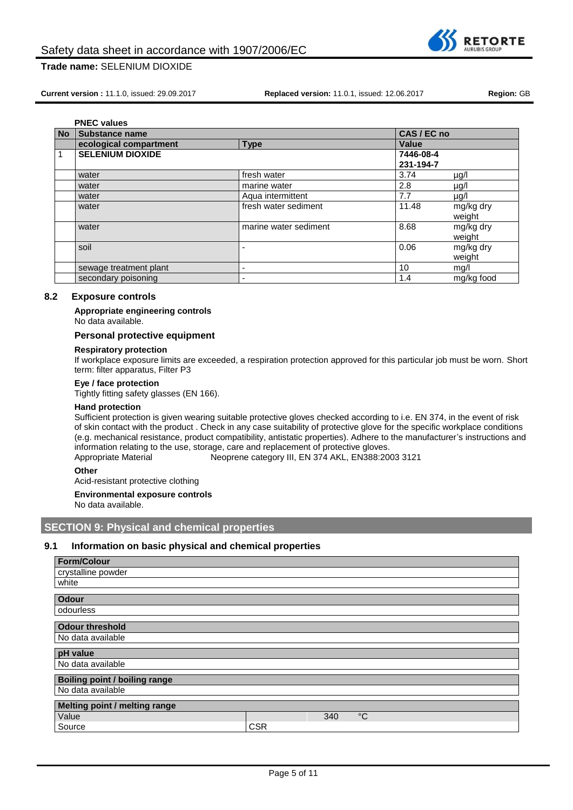

**Current version :** 11.1.0, issued: 29.09.2017 **Replaced version:** 11.0.1, issued: 12.06.2017 **Region:** GB

|           | <b>PNEC values</b>      |                       |             |            |
|-----------|-------------------------|-----------------------|-------------|------------|
| <b>No</b> | <b>Substance name</b>   |                       | CAS / EC no |            |
|           | ecological compartment  | <b>Type</b>           | Value       |            |
|           | <b>SELENIUM DIOXIDE</b> |                       | 7446-08-4   |            |
|           |                         |                       | 231-194-7   |            |
|           | water                   | fresh water           | 3.74        | $\mu$ g/l  |
|           | water                   | marine water          | 2.8         | $\mu$ g/l  |
|           | water                   | Aqua intermittent     | 7.7         | $\mu$ g/l  |
|           | water                   | fresh water sediment  | 11.48       | mg/kg dry  |
|           |                         |                       |             | weight     |
|           | water                   | marine water sediment | 8.68        | mg/kg dry  |
|           |                         |                       |             | weight     |
|           | soil                    |                       | 0.06        | mg/kg dry  |
|           |                         |                       |             | weight     |
|           | sewage treatment plant  | -                     | 10          | mg/l       |
|           | secondary poisoning     |                       | 1.4         | mg/kg food |

# **8.2 Exposure controls**

#### **Appropriate engineering controls**

No data available.

# **Personal protective equipment**

#### **Respiratory protection**

If workplace exposure limits are exceeded, a respiration protection approved for this particular job must be worn. Short term: filter apparatus, Filter P3

## **Eye / face protection**

Tightly fitting safety glasses (EN 166).

#### **Hand protection**

Sufficient protection is given wearing suitable protective gloves checked according to i.e. EN 374, in the event of risk of skin contact with the product . Check in any case suitability of protective glove for the specific workplace conditions (e.g. mechanical resistance, product compatibility, antistatic properties). Adhere to the manufacturer's instructions and information relating to the use, storage, care and replacement of protective gloves.<br>Appropriate Material Meoprene category III, EN 374 AKL, EN388:20 Neoprene category III, EN 374 AKL, EN388:2003 3121

**Other**

Acid-resistant protective clothing

#### **Environmental exposure controls**

No data available.

# **SECTION 9: Physical and chemical properties**

### **9.1 Information on basic physical and chemical properties**

| <b>Form/Colour</b>                   |            |     |             |
|--------------------------------------|------------|-----|-------------|
| crystalline powder                   |            |     |             |
| white                                |            |     |             |
| <b>Odour</b>                         |            |     |             |
| odourless                            |            |     |             |
|                                      |            |     |             |
| <b>Odour threshold</b>               |            |     |             |
| No data available                    |            |     |             |
| pH value                             |            |     |             |
| No data available                    |            |     |             |
| <b>Boiling point / boiling range</b> |            |     |             |
| No data available                    |            |     |             |
|                                      |            |     |             |
| Melting point / melting range        |            |     |             |
| Value                                |            | 340 | $^{\circ}C$ |
| Source                               | <b>CSR</b> |     |             |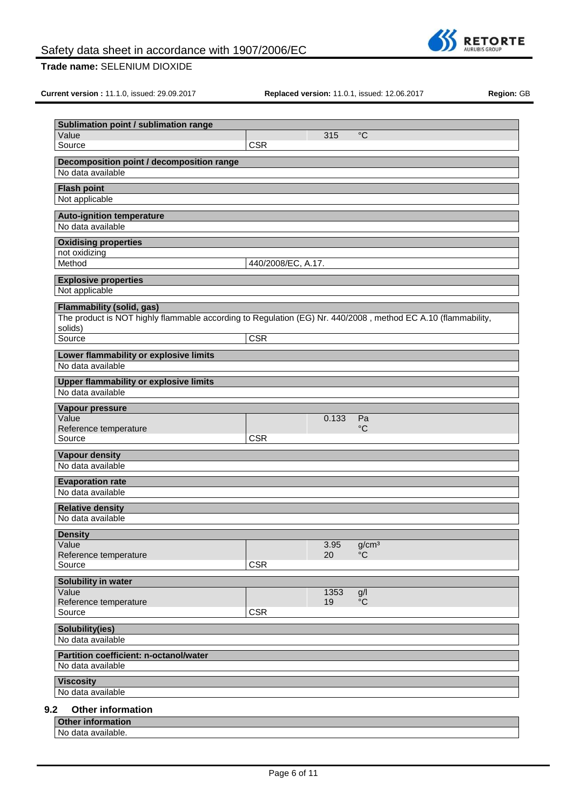

**Current version :** 11.1.0, issued: 29.09.2017 **Replaced version:** 11.0.1, issued: 12.06.2017 **Region:** GB

| Sublimation point / sublimation range                                                                        |                         |       |                   |  |
|--------------------------------------------------------------------------------------------------------------|-------------------------|-------|-------------------|--|
| Value                                                                                                        |                         | 315   | $^{\circ}C$       |  |
| Source                                                                                                       | <b>CSR</b>              |       |                   |  |
| Decomposition point / decomposition range                                                                    |                         |       |                   |  |
| No data available                                                                                            |                         |       |                   |  |
| <b>Flash point</b>                                                                                           |                         |       |                   |  |
| Not applicable                                                                                               |                         |       |                   |  |
| <b>Auto-ignition temperature</b>                                                                             |                         |       |                   |  |
| No data available                                                                                            |                         |       |                   |  |
| <b>Oxidising properties</b>                                                                                  |                         |       |                   |  |
| not oxidizing                                                                                                |                         |       |                   |  |
| Method                                                                                                       | 440/2008/EC, A.17.      |       |                   |  |
| <b>Explosive properties</b>                                                                                  |                         |       |                   |  |
| Not applicable                                                                                               |                         |       |                   |  |
| Flammability (solid, gas)                                                                                    |                         |       |                   |  |
| The product is NOT highly flammable according to Regulation (EG) Nr. 440/2008, method EC A.10 (flammability, |                         |       |                   |  |
| solids)<br>Source                                                                                            | $\overline{\text{CSR}}$ |       |                   |  |
|                                                                                                              |                         |       |                   |  |
| Lower flammability or explosive limits<br>No data available                                                  |                         |       |                   |  |
|                                                                                                              |                         |       |                   |  |
| <b>Upper flammability or explosive limits</b><br>No data available                                           |                         |       |                   |  |
|                                                                                                              |                         |       |                   |  |
| Vapour pressure<br>Value                                                                                     |                         |       |                   |  |
| Reference temperature                                                                                        |                         | 0.133 | Pa<br>°C          |  |
| Source                                                                                                       | <b>CSR</b>              |       |                   |  |
| <b>Vapour density</b>                                                                                        |                         |       |                   |  |
| No data available                                                                                            |                         |       |                   |  |
| <b>Evaporation rate</b>                                                                                      |                         |       |                   |  |
| No data available                                                                                            |                         |       |                   |  |
| <b>Relative density</b>                                                                                      |                         |       |                   |  |
| No data available                                                                                            |                         |       |                   |  |
| <b>Density</b>                                                                                               |                         |       |                   |  |
| Value                                                                                                        |                         | 3.95  | g/cm <sup>3</sup> |  |
| Reference temperature                                                                                        |                         | 20    | °C                |  |
| Source                                                                                                       | <b>CSR</b>              |       |                   |  |
| Solubility in water                                                                                          |                         |       |                   |  |
| Value                                                                                                        |                         | 1353  | g/l               |  |
| Reference temperature<br>Source                                                                              | <b>CSR</b>              | 19    | $\overline{C}$    |  |
|                                                                                                              |                         |       |                   |  |
| Solubility(ies)<br>No data available                                                                         |                         |       |                   |  |
|                                                                                                              |                         |       |                   |  |
| Partition coefficient: n-octanol/water<br>No data available                                                  |                         |       |                   |  |
|                                                                                                              |                         |       |                   |  |
| <b>Viscosity</b><br>No data available                                                                        |                         |       |                   |  |
|                                                                                                              |                         |       |                   |  |
| 9.2<br><b>Other information</b>                                                                              |                         |       |                   |  |
| <b>Other information</b>                                                                                     |                         |       |                   |  |
| No data available.                                                                                           |                         |       |                   |  |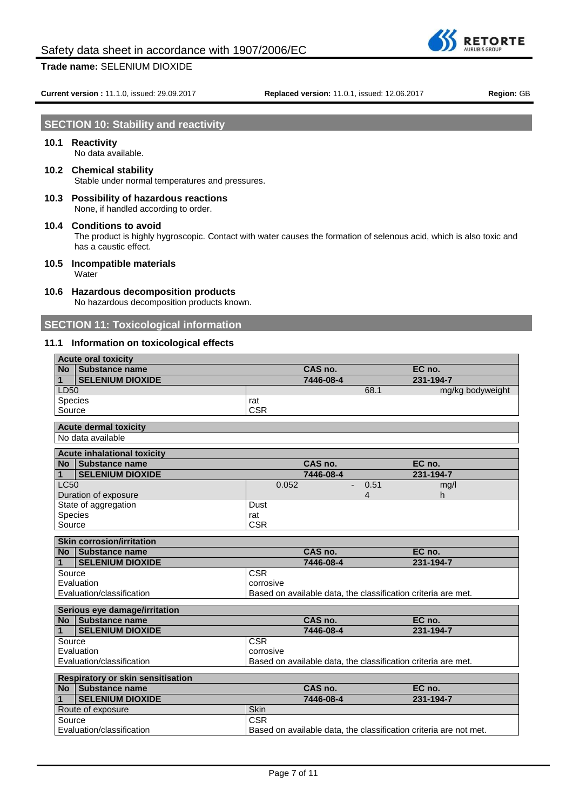**Current version :** 11.1.0, issued: 29.09.2017 **Replaced version:** 11.0.1, issued: 12.06.2017 **Region:** GB

**RETORTE** 

# **SECTION 10: Stability and reactivity**

# **10.1 Reactivity**

No data available.

- **10.2 Chemical stability** Stable under normal temperatures and pressures.
- **10.3 Possibility of hazardous reactions**

None, if handled according to order.

# **10.4 Conditions to avoid**

The product is highly hygroscopic. Contact with water causes the formation of selenous acid, which is also toxic and has a caustic effect.

- **10.5 Incompatible materials Water**
- **10.6 Hazardous decomposition products**

No hazardous decomposition products known.

# **SECTION 11: Toxicological information**

# **11.1 Information on toxicological effects**

| <b>Acute oral toxicity</b>         |                                                                   |                |                  |
|------------------------------------|-------------------------------------------------------------------|----------------|------------------|
| No Substance name                  | CAS no.                                                           |                | EC no.           |
| <b>SELENIUM DIOXIDE</b><br>1       | 7446-08-4                                                         |                | $231 - 194 - 7$  |
| LD50                               |                                                                   | 68.1           | mg/kg bodyweight |
| Species                            | rat                                                               |                |                  |
| Source                             | <b>CSR</b>                                                        |                |                  |
| <b>Acute dermal toxicity</b>       |                                                                   |                |                  |
| No data available                  |                                                                   |                |                  |
| <b>Acute inhalational toxicity</b> |                                                                   |                |                  |
| No Substance name                  | CAS no.                                                           |                | EC no.           |
| <b>SELENIUM DIOXIDE</b><br>1       | 7446-08-4                                                         |                | 231-194-7        |
| LC50                               | 0.052                                                             | 0.51           | mg/l             |
| Duration of exposure               |                                                                   | $\overline{4}$ | h                |
| State of aggregation               | Dust                                                              |                |                  |
| Species                            | rat                                                               |                |                  |
| Source                             | <b>CSR</b>                                                        |                |                  |
| <b>Skin corrosion/irritation</b>   |                                                                   |                |                  |
| No Substance name                  | CAS no.                                                           |                | EC no.           |
| <b>SELENIUM DIOXIDE</b><br>1       | 7446-08-4                                                         |                | 231-194-7        |
| Source                             | <b>CSR</b>                                                        |                |                  |
| Evaluation                         | corrosive                                                         |                |                  |
| Evaluation/classification          | Based on available data, the classification criteria are met.     |                |                  |
| Serious eye damage/irritation      |                                                                   |                |                  |
| No Substance name                  | CAS no.                                                           |                | EC no.           |
| 1<br><b>SELENIUM DIOXIDE</b>       | 7446-08-4                                                         |                | 231-194-7        |
| Source                             | <b>CSR</b>                                                        |                |                  |
| Evaluation                         | corrosive                                                         |                |                  |
| Evaluation/classification          | Based on available data, the classification criteria are met.     |                |                  |
| Respiratory or skin sensitisation  |                                                                   |                |                  |
| <b>No</b><br>Substance name        | CAS no.                                                           |                | EC no.           |
| <b>SELENIUM DIOXIDE</b><br>1       | 7446-08-4                                                         |                | 231-194-7        |
| Route of exposure                  | Skin                                                              |                |                  |
| Source                             | <b>CSR</b>                                                        |                |                  |
| Evaluation/classification          | Based on available data, the classification criteria are not met. |                |                  |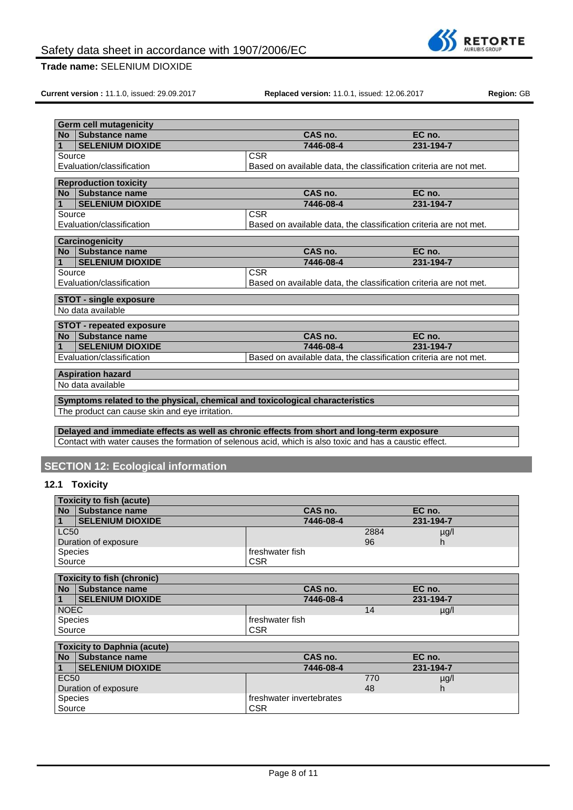

**Current version :** 11.1.0, issued: 29.09.2017 **Replaced version:** 11.0.1, issued: 12.06.2017 **Region:** GB

| <b>Germ cell mutagenicity</b>                                                              |                                                                   |           |
|--------------------------------------------------------------------------------------------|-------------------------------------------------------------------|-----------|
| <b>Substance name</b><br><b>No</b>                                                         | CAS no.                                                           | EC no.    |
| <b>SELENIUM DIOXIDE</b><br>1                                                               | 7446-08-4                                                         | 231-194-7 |
| Source                                                                                     | <b>CSR</b>                                                        |           |
| Evaluation/classification                                                                  | Based on available data, the classification criteria are not met. |           |
| <b>Reproduction toxicity</b>                                                               |                                                                   |           |
| <b>Substance name</b><br><b>No</b>                                                         | CAS no.                                                           | EC no.    |
| <b>SELENIUM DIOXIDE</b><br>1                                                               | 7446-08-4                                                         | 231-194-7 |
| Source                                                                                     | <b>CSR</b>                                                        |           |
| Evaluation/classification                                                                  | Based on available data, the classification criteria are not met. |           |
|                                                                                            |                                                                   |           |
| <b>Carcinogenicity</b>                                                                     |                                                                   |           |
| Substance name<br><b>No</b>                                                                | CAS no.                                                           | EC no.    |
| <b>SELENIUM DIOXIDE</b>                                                                    | 7446-08-4                                                         | 231-194-7 |
| Source                                                                                     | <b>CSR</b>                                                        |           |
| Evaluation/classification                                                                  | Based on available data, the classification criteria are not met. |           |
| <b>STOT - single exposure</b>                                                              |                                                                   |           |
| No data available                                                                          |                                                                   |           |
| <b>STOT - repeated exposure</b>                                                            |                                                                   |           |
| Substance name<br><b>No</b>                                                                | CAS no.                                                           | EC no.    |
| <b>SELENIUM DIOXIDE</b>                                                                    | 7446-08-4                                                         | 231-194-7 |
| Evaluation/classification                                                                  | Based on available data, the classification criteria are not met. |           |
| <b>Aspiration hazard</b>                                                                   |                                                                   |           |
| No data available                                                                          |                                                                   |           |
|                                                                                            |                                                                   |           |
| Symptoms related to the physical, chemical and toxicological characteristics               |                                                                   |           |
| The product can cause skin and eye irritation.                                             |                                                                   |           |
|                                                                                            |                                                                   |           |
| Delayed and immediate effects as well as chronic effects from short and long-term exposure |                                                                   |           |

Contact with water causes the formation of selenous acid, which is also toxic and has a caustic effect.

# **SECTION 12: Ecological information**

Source CSR

# **12.1 Toxicity**

|                | <b>Toxicity to fish (acute)</b>    |                          |      |           |  |
|----------------|------------------------------------|--------------------------|------|-----------|--|
| <b>No</b>      | Substance name                     | CAS no.                  |      | EC no.    |  |
|                | <b>SELENIUM DIOXIDE</b>            | 7446-08-4                |      | 231-194-7 |  |
| LC50           |                                    |                          | 2884 | $\mu$ g/l |  |
|                | Duration of exposure               |                          | 96   | h         |  |
| <b>Species</b> |                                    | freshwater fish          |      |           |  |
| Source         |                                    | <b>CSR</b>               |      |           |  |
|                | <b>Toxicity to fish (chronic)</b>  |                          |      |           |  |
|                |                                    |                          |      |           |  |
| <b>No</b>      | Substance name                     | CAS no.                  |      | EC no.    |  |
|                | <b>SELENIUM DIOXIDE</b>            | 7446-08-4                |      | 231-194-7 |  |
| <b>NOEC</b>    |                                    |                          | 14   | $\mu$ g/l |  |
| <b>Species</b> |                                    | freshwater fish          |      |           |  |
| Source         |                                    | <b>CSR</b>               |      |           |  |
|                |                                    |                          |      |           |  |
|                | <b>Toxicity to Daphnia (acute)</b> |                          |      |           |  |
| <b>No</b>      | Substance name                     | CAS no.                  |      | EC no.    |  |
|                | <b>SELENIUM DIOXIDE</b>            | 7446-08-4                |      | 231-194-7 |  |
| <b>EC50</b>    |                                    |                          | 770  | $\mu$ g/l |  |
|                | Duration of exposure               |                          | 48   | h         |  |
| <b>Species</b> |                                    | freshwater invertebrates |      |           |  |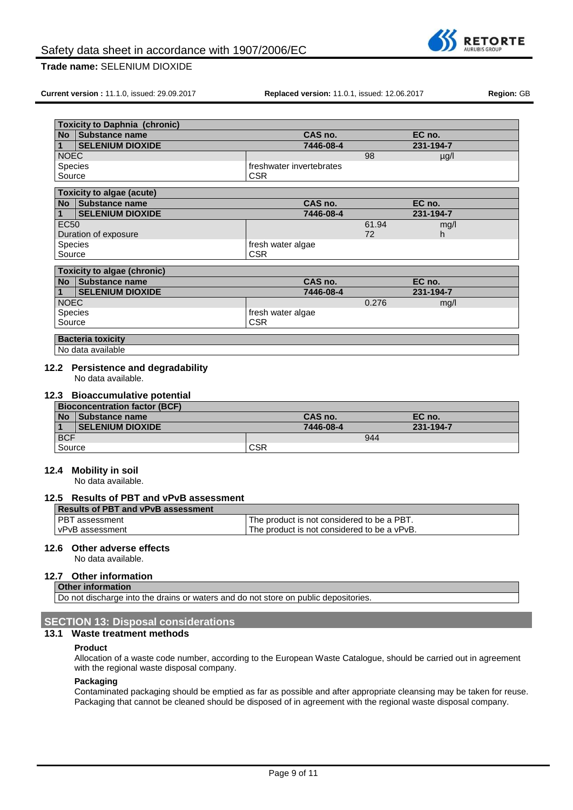

**Current version :** 11.1.0, issued: 29.09.2017 **Replaced version:** 11.0.1, issued: 12.06.2017 **Region:** GB

|                | <b>Toxicity to Daphnia (chronic)</b> |                          |       |           |  |
|----------------|--------------------------------------|--------------------------|-------|-----------|--|
| <b>No</b>      | <b>Substance name</b>                | CAS no.                  |       | EC no.    |  |
|                | <b>SELENIUM DIOXIDE</b>              | 7446-08-4                |       | 231-194-7 |  |
| <b>NOEC</b>    |                                      |                          | 98    | $\mu$ g/l |  |
| <b>Species</b> |                                      | freshwater invertebrates |       |           |  |
| Source         |                                      | <b>CSR</b>               |       |           |  |
|                | <b>Toxicity to algae (acute)</b>     |                          |       |           |  |
| <b>No</b>      | Substance name                       | CAS no.                  |       | EC no.    |  |
| 1              | <b>SELENIUM DIOXIDE</b>              | 7446-08-4                |       | 231-194-7 |  |
| <b>EC50</b>    |                                      |                          | 61.94 | mg/l      |  |
|                | Duration of exposure                 |                          | 72    | h.        |  |
| <b>Species</b> |                                      | fresh water algae        |       |           |  |
| Source         |                                      | <b>CSR</b>               |       |           |  |
|                | <b>Toxicity to algae (chronic)</b>   |                          |       |           |  |
| <b>No</b>      | Substance name                       | CAS no.                  |       | EC no.    |  |
|                | <b>SELENIUM DIOXIDE</b>              | 7446-08-4                |       | 231-194-7 |  |
| <b>NOEC</b>    |                                      |                          | 0.276 | mg/l      |  |
| <b>Species</b> |                                      | fresh water algae        |       |           |  |
| Source         |                                      | <b>CSR</b>               |       |           |  |
|                | <b>Bacteria toxicity</b>             |                          |       |           |  |
|                | No data available                    |                          |       |           |  |
|                |                                      |                          |       |           |  |

No data available.

## **12.3 Bioaccumulative potential**

| <b>Bioconcentration factor (BCF)</b> |                         |            |           |  |
|--------------------------------------|-------------------------|------------|-----------|--|
| <b>No</b>                            | Substance name          | CAS no.    | EC no.    |  |
|                                      | <b>SELENIUM DIOXIDE</b> | 7446-08-4  | 231-194-7 |  |
| <b>BCF</b>                           |                         | 944        |           |  |
| Source                               |                         | <b>CSR</b> |           |  |

#### **12.4 Mobility in soil**

No data available.

#### **12.5 Results of PBT and vPvB assessment**

| <sup>1</sup> The product is not considered to be a PBT. |
|---------------------------------------------------------|
| The product is not considered to be a vPvB.             |
|                                                         |

#### **12.6 Other adverse effects**

No data available.

## **12.7 Other information**

**Other information** Do not discharge into the drains or waters and do not store on public depositories.

# **SECTION 13: Disposal considerations**

# **13.1 Waste treatment methods**

#### **Product**

Allocation of a waste code number, according to the European Waste Catalogue, should be carried out in agreement with the regional waste disposal company.

#### **Packaging**

Contaminated packaging should be emptied as far as possible and after appropriate cleansing may be taken for reuse. Packaging that cannot be cleaned should be disposed of in agreement with the regional waste disposal company.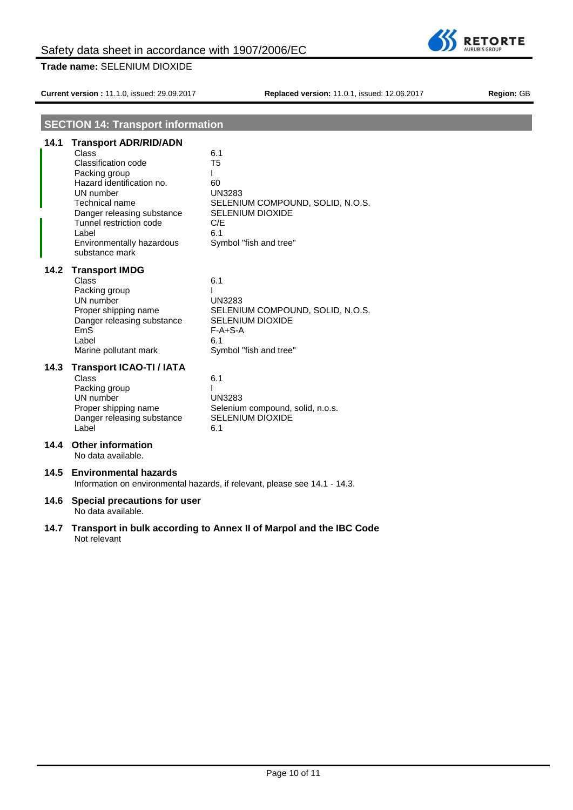**Current version :** 11.1.0, issued: 29.09.2017 **Replaced version:** 11.0.1, issued: 12.06.2017 **Region:** GB

# **SECTION 14: Transport information**

| 14.1 | <b>Transport ADR/RID/ADN</b>                                                                                                                                                                                               |                                                                                                                                                          |  |
|------|----------------------------------------------------------------------------------------------------------------------------------------------------------------------------------------------------------------------------|----------------------------------------------------------------------------------------------------------------------------------------------------------|--|
|      | Class<br>Classification code<br>Packing group<br>Hazard identification no.<br>UN number<br>Technical name<br>Danger releasing substance<br>Tunnel restriction code<br>Label<br>Environmentally hazardous<br>substance mark | 6.1<br>T <sub>5</sub><br>ı<br>60<br><b>UN3283</b><br>SELENIUM COMPOUND, SOLID, N.O.S.<br><b>SELENIUM DIOXIDE</b><br>C/E<br>6.1<br>Symbol "fish and tree" |  |
| 14.2 | <b>Transport IMDG</b><br><b>Class</b><br>Packing group<br>UN number<br>Proper shipping name<br>Danger releasing substance<br>EmS<br>Label<br>Marine pollutant mark                                                         | 6.1<br>ı<br><b>UN3283</b><br>SELENIUM COMPOUND, SOLID, N.O.S.<br><b>SELENIUM DIOXIDE</b><br>$F-A+S-A$<br>6.1<br>Symbol "fish and tree"                   |  |
| 14.3 | <b>Transport ICAO-TI / IATA</b><br>Class<br>Packing group<br>UN number<br>Proper shipping name<br>Danger releasing substance<br>Label                                                                                      | 6.1<br><b>UN3283</b><br>Selenium compound, solid, n.o.s.<br><b>SELENIUM DIOXIDE</b><br>6.1                                                               |  |
| 14.4 | <b>Other information</b><br>No data available.                                                                                                                                                                             |                                                                                                                                                          |  |
| 14.5 | <b>Environmental hazards</b><br>Information on environmental hazards, if relevant, please see 14.1 - 14.3.                                                                                                                 |                                                                                                                                                          |  |
| 14.6 | Special precautions for user<br>No data available.                                                                                                                                                                         |                                                                                                                                                          |  |
| 14.7 | Transport in bulk according to Annex II of Marpol and the IBC Code                                                                                                                                                         |                                                                                                                                                          |  |

Not relevant

**SS RETORTE**